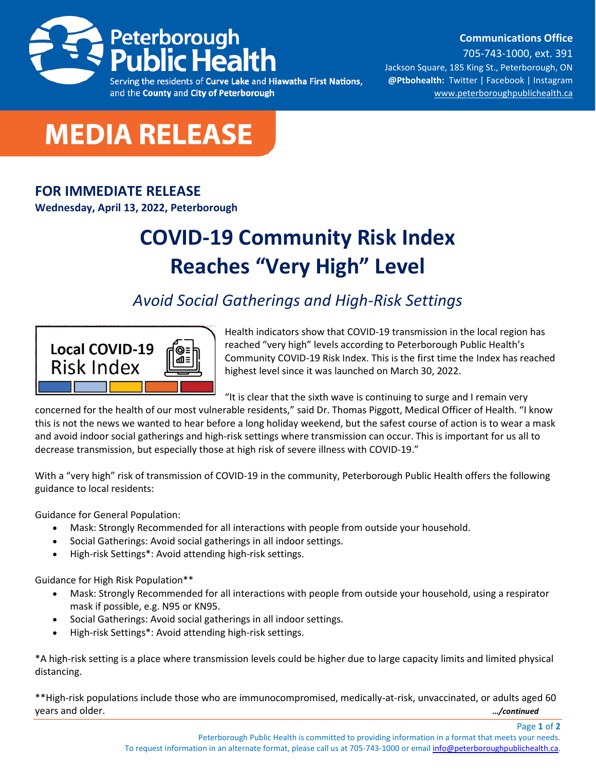

and the County and City of Peterborough

**Communications Office**

705-743-1000, ext. 391 Jackson Square, 185 King St., Peterborough, ON **@Ptbohealth:** [Twitter](http://www.twitter.com/PCCHU) | [Facebook](http://www.facebook.ca/PCCHU1) | Instagram [www.peterboroughpublichealth.ca](http://www.peterboroughpublichealth.ca/)



## **FOR IMMEDIATE RELEASE**

**Wednesday, April 13, 2022, Peterborough**

## **COVID-19 Community Risk Index Reaches "Very High" Level**

## *Avoid Social Gatherings and High-Risk Settings*



Health indicators show that COVID-19 transmission in the local region has reached "very high" levels according to Peterborough Public Health's Community COVID-19 Risk Index. This is the first time the Index has reached highest level since it was launched on March 30, 2022.

"It is clear that the sixth wave is continuing to surge and I remain very

concerned for the health of our most vulnerable residents," said Dr. Thomas Piggott, Medical Officer of Health. "I know this is not the news we wanted to hear before a long holiday weekend, but the safest course of action is to wear a mask and avoid indoor social gatherings and high-risk settings where transmission can occur. This is important for us all to decrease transmission, but especially those at high risk of severe illness with COVID-19."

With a "very high" risk of transmission of COVID-19 in the community, Peterborough Public Health offers the following guidance to local residents:

Guidance for General Population:

- Mask: Strongly Recommended for all interactions with people from outside your household.
- Social Gatherings: Avoid social gatherings in all indoor settings.
- High-risk Settings\*: Avoid attending high-risk settings.

Guidance for High Risk Population\*\*

- Mask: Strongly Recommended for all interactions with people from outside your household, using a respirator mask if possible, e.g. N95 or KN95.
- Social Gatherings: Avoid social gatherings in all indoor settings.
- High-risk Settings\*: Avoid attending high-risk settings.

\*A high-risk setting is a place where transmission levels could be higher due to large capacity limits and limited physical distancing.

\*\*High-risk populations include those who are immunocompromised, medically-at-risk, unvaccinated, or adults aged 60 years and older. *…/continued*